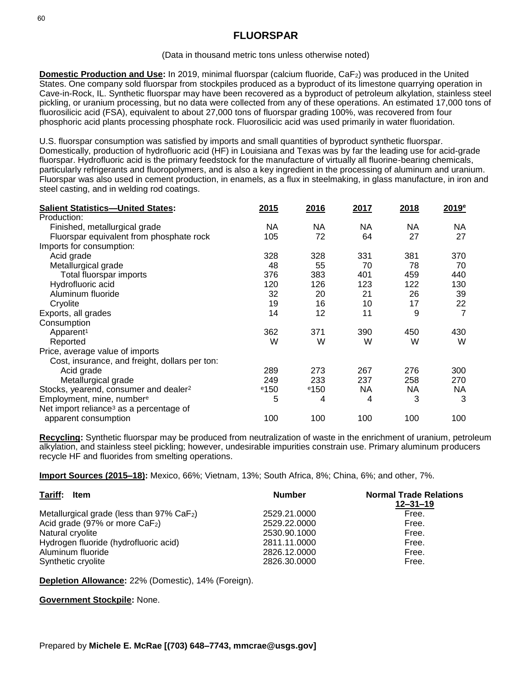## (Data in thousand metric tons unless otherwise noted)

**Domestic Production and Use:** In 2019, minimal fluorspar (calcium fluoride, CaF<sub>2</sub>) was produced in the United States. One company sold fluorspar from stockpiles produced as a byproduct of its limestone quarrying operation in Cave-in-Rock, IL. Synthetic fluorspar may have been recovered as a byproduct of petroleum alkylation, stainless steel pickling, or uranium processing, but no data were collected from any of these operations. An estimated 17,000 tons of fluorosilicic acid (FSA), equivalent to about 27,000 tons of fluorspar grading 100%, was recovered from four phosphoric acid plants processing phosphate rock. Fluorosilicic acid was used primarily in water fluoridation.

U.S. fluorspar consumption was satisfied by imports and small quantities of byproduct synthetic fluorspar. Domestically, production of hydrofluoric acid (HF) in Louisiana and Texas was by far the leading use for acid-grade fluorspar. Hydrofluoric acid is the primary feedstock for the manufacture of virtually all fluorine-bearing chemicals, particularly refrigerants and fluoropolymers, and is also a key ingredient in the processing of aluminum and uranium. Fluorspar was also used in cement production, in enamels, as a flux in steelmaking, in glass manufacture, in iron and steel casting, and in welding rod coatings.

| <b>Salient Statistics-United States:</b>            | 2015    | 2016    | 2017      | 2018 | 2019 <sup>e</sup> |
|-----------------------------------------------------|---------|---------|-----------|------|-------------------|
| Production:                                         |         |         |           |      |                   |
| Finished, metallurgical grade                       | NA.     | NА      | NA.       | NА   | NА                |
| Fluorspar equivalent from phosphate rock            | 105     | 72      | 64        | 27   | 27                |
| Imports for consumption:                            |         |         |           |      |                   |
| Acid grade                                          | 328     | 328     | 331       | 381  | 370               |
| Metallurgical grade                                 | 48      | 55      | 70        | 78   | 70                |
| Total fluorspar imports                             | 376     | 383     | 401       | 459  | 440               |
| Hydrofluoric acid                                   | 120     | 126     | 123       | 122  | 130               |
| Aluminum fluoride                                   | 32      | 20      | 21        | 26   | 39                |
| Cryolite                                            | 19      | 16      | 10        | 17   | 22                |
| Exports, all grades                                 | 14      | 12      | 11        | 9    |                   |
| Consumption                                         |         |         |           |      |                   |
| Apparent <sup>1</sup>                               | 362     | 371     | 390       | 450  | 430               |
| Reported                                            | W       | W       | W         | W    | W                 |
| Price, average value of imports                     |         |         |           |      |                   |
| Cost, insurance, and freight, dollars per ton:      |         |         |           |      |                   |
| Acid grade                                          | 289     | 273     | 267       | 276  | 300               |
| Metallurgical grade                                 | 249     | 233     | 237       | 258  | 270               |
| Stocks, yearend, consumer and dealer <sup>2</sup>   | $e$ 150 | $e$ 150 | <b>NA</b> | NA.  | NА                |
| Employment, mine, number <sup>e</sup>               | 5       | 4       | 4         | 3    | 3                 |
| Net import reliance <sup>3</sup> as a percentage of |         |         |           |      |                   |
| apparent consumption                                | 100     | 100     | 100       | 100  | 100               |

**Recycling:** Synthetic fluorspar may be produced from neutralization of waste in the enrichment of uranium, petroleum alkylation, and stainless steel pickling; however, undesirable impurities constrain use. Primary aluminum producers recycle HF and fluorides from smelting operations.

**Import Sources (2015–18):** Mexico, 66%; Vietnam, 13%; South Africa, 8%; China, 6%; and other, 7%.

| Tariff: Item                                             | <b>Number</b> | <b>Normal Trade Relations</b><br>$12 - 31 - 19$ |  |
|----------------------------------------------------------|---------------|-------------------------------------------------|--|
| Metallurgical grade (less than $97\%$ CaF <sub>2</sub> ) | 2529.21.0000  | Free.                                           |  |
| Acid grade (97% or more CaF <sub>2</sub> )               | 2529.22.0000  | Free.                                           |  |
| Natural cryolite                                         | 2530.90.1000  | Free.                                           |  |
| Hydrogen fluoride (hydrofluoric acid)                    | 2811.11.0000  | Free.                                           |  |
| Aluminum fluoride                                        | 2826.12.0000  | Free.                                           |  |
| Synthetic cryolite                                       | 2826.30.0000  | Free.                                           |  |

**Depletion Allowance:** 22% (Domestic), 14% (Foreign).

## **Government Stockpile:** None.